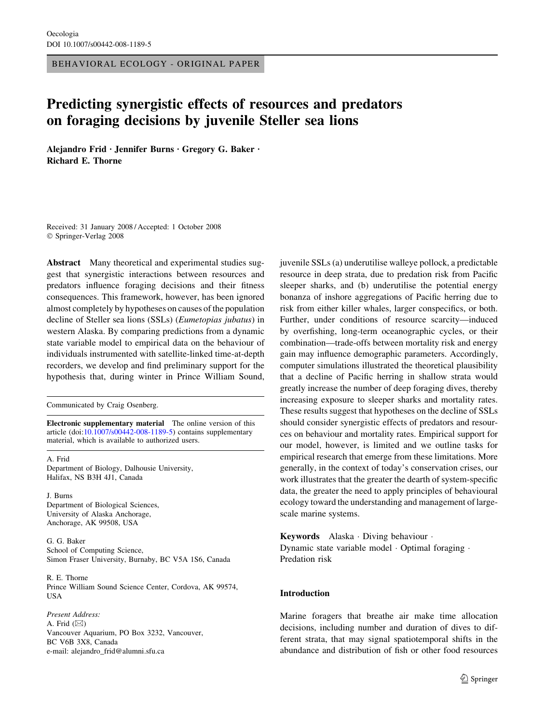BEHAVIORAL ECOLOGY - ORIGINAL PAPER

# Predicting synergistic effects of resources and predators on foraging decisions by juvenile Steller sea lions

Alejandro Frid · Jennifer Burns · Gregory G. Baker · Richard E. Thorne

Received: 31 January 2008 / Accepted: 1 October 2008 Springer-Verlag 2008

Abstract Many theoretical and experimental studies suggest that synergistic interactions between resources and predators influence foraging decisions and their fitness consequences. This framework, however, has been ignored almost completely by hypotheses on causes of the population decline of Steller sea lions (SSLs) (Eumetopias jubatus) in western Alaska. By comparing predictions from a dynamic state variable model to empirical data on the behaviour of individuals instrumented with satellite-linked time-at-depth recorders, we develop and find preliminary support for the hypothesis that, during winter in Prince William Sound,

Communicated by Craig Osenberg.

Electronic supplementary material The online version of this article  $(doi:10.1007/s00442-008-1189-5)$  $(doi:10.1007/s00442-008-1189-5)$  contains supplementary material, which is available to authorized users.

A. Frid Department of Biology, Dalhousie University, Halifax, NS B3H 4J1, Canada

J. Burns Department of Biological Sciences, University of Alaska Anchorage, Anchorage, AK 99508, USA

G. G. Baker School of Computing Science, Simon Fraser University, Burnaby, BC V5A 1S6, Canada

R. E. Thorne Prince William Sound Science Center, Cordova, AK 99574, USA

Present Address: A. Frid  $(\boxtimes)$ Vancouver Aquarium, PO Box 3232, Vancouver, BC V6B 3X8, Canada e-mail: alejandro\_frid@alumni.sfu.ca

juvenile SSLs (a) underutilise walleye pollock, a predictable resource in deep strata, due to predation risk from Pacific sleeper sharks, and (b) underutilise the potential energy bonanza of inshore aggregations of Pacific herring due to risk from either killer whales, larger conspecifics, or both. Further, under conditions of resource scarcity—induced by overfishing, long-term oceanographic cycles, or their combination—trade-offs between mortality risk and energy gain may influence demographic parameters. Accordingly, computer simulations illustrated the theoretical plausibility that a decline of Pacific herring in shallow strata would greatly increase the number of deep foraging dives, thereby increasing exposure to sleeper sharks and mortality rates. These results suggest that hypotheses on the decline of SSLs should consider synergistic effects of predators and resources on behaviour and mortality rates. Empirical support for our model, however, is limited and we outline tasks for empirical research that emerge from these limitations. More generally, in the context of today's conservation crises, our work illustrates that the greater the dearth of system-specific data, the greater the need to apply principles of behavioural ecology toward the understanding and management of largescale marine systems.

**Keywords** Alaska  $\cdot$  Diving behaviour  $\cdot$ Dynamic state variable model · Optimal foraging · Predation risk

# Introduction

Marine foragers that breathe air make time allocation decisions, including number and duration of dives to different strata, that may signal spatiotemporal shifts in the abundance and distribution of fish or other food resources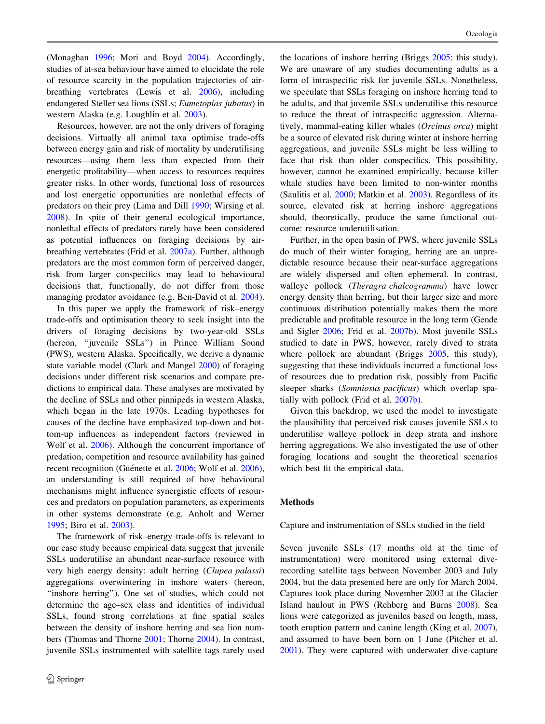<span id="page-1-0"></span>(Monaghan [1996;](#page-11-0) Mori and Boyd [2004\)](#page-11-0). Accordingly, studies of at-sea behaviour have aimed to elucidate the role of resource scarcity in the population trajectories of airbreathing vertebrates (Lewis et al. [2006](#page-11-0)), including endangered Steller sea lions (SSLs; Eumetopias jubatus) in western Alaska (e.g. Loughlin et al. [2003](#page-11-0)).

Resources, however, are not the only drivers of foraging decisions. Virtually all animal taxa optimise trade-offs between energy gain and risk of mortality by underutilising resources—using them less than expected from their energetic profitability—when access to resources requires greater risks. In other words, functional loss of resources and lost energetic opportunities are nonlethal effects of predators on their prey (Lima and Dill [1990;](#page-11-0) Wirsing et al. [2008\)](#page-11-0). In spite of their general ecological importance, nonlethal effects of predators rarely have been considered as potential influences on foraging decisions by airbreathing vertebrates (Frid et al. [2007a](#page-10-0)). Further, although predators are the most common form of perceived danger, risk from larger conspecifics may lead to behavioural decisions that, functionally, do not differ from those managing predator avoidance (e.g. Ben-David et al. [2004](#page-10-0)).

In this paper we apply the framework of risk–energy trade-offs and optimisation theory to seek insight into the drivers of foraging decisions by two-year-old SSLs (hereon, ''juvenile SSLs'') in Prince William Sound (PWS), western Alaska. Specifically, we derive a dynamic state variable model (Clark and Mangel [2000](#page-10-0)) of foraging decisions under different risk scenarios and compare predictions to empirical data. These analyses are motivated by the decline of SSLs and other pinnipeds in western Alaska, which began in the late 1970s. Leading hypotheses for causes of the decline have emphasized top-down and bottom-up influences as independent factors (reviewed in Wolf et al. [2006](#page-11-0)). Although the concurrent importance of predation, competition and resource availability has gained recent recognition (Guénette et al. [2006;](#page-10-0) Wolf et al. [2006](#page-11-0)), an understanding is still required of how behavioural mechanisms might influence synergistic effects of resources and predators on population parameters, as experiments in other systems demonstrate (e.g. Anholt and Werner [1995;](#page-10-0) Biro et al. [2003\)](#page-10-0).

The framework of risk–energy trade-offs is relevant to our case study because empirical data suggest that juvenile SSLs underutilise an abundant near-surface resource with very high energy density: adult herring (Clupea palassi) aggregations overwintering in inshore waters (hereon, "inshore herring"). One set of studies, which could not determine the age–sex class and identities of individual SSLs, found strong correlations at fine spatial scales between the density of inshore herring and sea lion numbers (Thomas and Thorne [2001;](#page-11-0) Thorne [2004](#page-11-0)). In contrast, juvenile SSLs instrumented with satellite tags rarely used

the locations of inshore herring (Briggs [2005](#page-10-0); this study). We are unaware of any studies documenting adults as a form of intraspecific risk for juvenile SSLs. Nonetheless, we speculate that SSLs foraging on inshore herring tend to be adults, and that juvenile SSLs underutilise this resource to reduce the threat of intraspecific aggression. Alternatively, mammal-eating killer whales (Orcinus orca) might be a source of elevated risk during winter at inshore herring aggregations, and juvenile SSLs might be less willing to face that risk than older conspecifics. This possibility, however, cannot be examined empirically, because killer whale studies have been limited to non-winter months (Saulitis et al. [2000;](#page-11-0) Matkin et al. [2003](#page-11-0)). Regardless of its source, elevated risk at herring inshore aggregations should, theoretically, produce the same functional outcome: resource underutilisation.

Further, in the open basin of PWS, where juvenile SSLs do much of their winter foraging, herring are an unpredictable resource because their near-surface aggregations are widely dispersed and often ephemeral. In contrast, walleye pollock (Theragra chalcogramma) have lower energy density than herring, but their larger size and more continuous distribution potentially makes them the more predictable and profitable resource in the long term (Gende and Sigler [2006](#page-10-0); Frid et al. [2007b\)](#page-10-0). Most juvenile SSLs studied to date in PWS, however, rarely dived to strata where pollock are abundant (Briggs [2005](#page-10-0), this study), suggesting that these individuals incurred a functional loss of resources due to predation risk, possibly from Pacific sleeper sharks (Somniosus pacificus) which overlap spatially with pollock (Frid et al. [2007b\)](#page-10-0).

Given this backdrop, we used the model to investigate the plausibility that perceived risk causes juvenile SSLs to underutilise walleye pollock in deep strata and inshore herring aggregations. We also investigated the use of other foraging locations and sought the theoretical scenarios which best fit the empirical data.

# Methods

#### Capture and instrumentation of SSLs studied in the field

Seven juvenile SSLs (17 months old at the time of instrumentation) were monitored using external diverecording satellite tags between November 2003 and July 2004, but the data presented here are only for March 2004. Captures took place during November 2003 at the Glacier Island haulout in PWS (Rehberg and Burns [2008](#page-11-0)). Sea lions were categorized as juveniles based on length, mass, tooth eruption pattern and canine length (King et al. [2007](#page-11-0)), and assumed to have been born on 1 June (Pitcher et al. [2001](#page-11-0)). They were captured with underwater dive-capture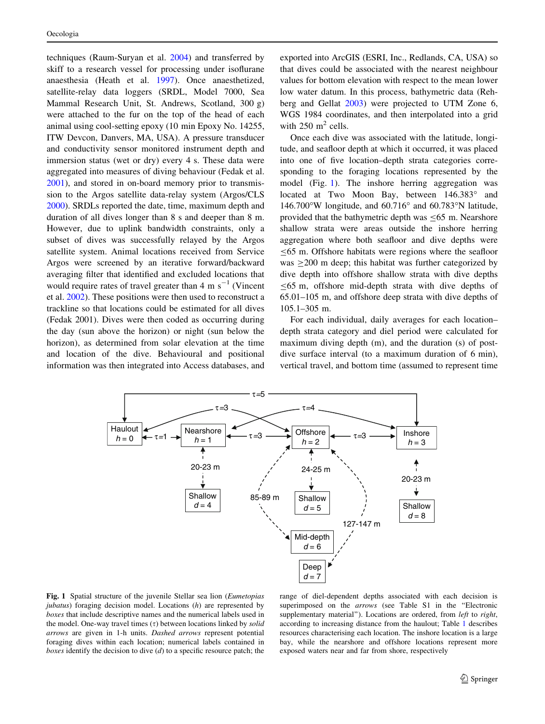<span id="page-2-0"></span>techniques (Raum-Suryan et al. [2004\)](#page-11-0) and transferred by skiff to a research vessel for processing under isoflurane anaesthesia (Heath et al. [1997\)](#page-11-0). Once anaesthetized, satellite-relay data loggers (SRDL, Model 7000, Sea Mammal Research Unit, St. Andrews, Scotland, 300 g) were attached to the fur on the top of the head of each animal using cool-setting epoxy (10 min Epoxy No. 14255, ITW Devcon, Danvers, MA, USA). A pressure transducer and conductivity sensor monitored instrument depth and immersion status (wet or dry) every 4 s. These data were aggregated into measures of diving behaviour (Fedak et al. [2001\)](#page-10-0), and stored in on-board memory prior to transmission to the Argos satellite data-relay system (Argos/CLS [2000\)](#page-10-0). SRDLs reported the date, time, maximum depth and duration of all dives longer than 8 s and deeper than 8 m. However, due to uplink bandwidth constraints, only a subset of dives was successfully relayed by the Argos satellite system. Animal locations received from Service Argos were screened by an iterative forward/backward averaging filter that identified and excluded locations that would require rates of travel greater than 4 m  $s^{-1}$  (Vincent et al. [2002\)](#page-11-0). These positions were then used to reconstruct a trackline so that locations could be estimated for all dives (Fedak 2001). Dives were then coded as occurring during the day (sun above the horizon) or night (sun below the horizon), as determined from solar elevation at the time and location of the dive. Behavioural and positional information was then integrated into Access databases, and exported into ArcGIS (ESRI, Inc., Redlands, CA, USA) so that dives could be associated with the nearest neighbour values for bottom elevation with respect to the mean lower low water datum. In this process, bathymetric data (Rehberg and Gellat [2003](#page-11-0)) were projected to UTM Zone 6, WGS 1984 coordinates, and then interpolated into a grid with  $250 \text{ m}^2$  cells.

Once each dive was associated with the latitude, longitude, and seafloor depth at which it occurred, it was placed into one of five location–depth strata categories corresponding to the foraging locations represented by the model (Fig. 1). The inshore herring aggregation was located at Two Moon Bay, between 146.383° and  $146.700^{\circ}$ W longitude, and  $60.716^{\circ}$  and  $60.783^{\circ}$ N latitude, provided that the bathymetric depth was  $\leq 65$  m. Nearshore shallow strata were areas outside the inshore herring aggregation where both seafloor and dive depths were  $<$  65 m. Offshore habitats were regions where the seafloor was  $>$  200 m deep; this habitat was further categorized by dive depth into offshore shallow strata with dive depths  $<$  65 m, offshore mid-depth strata with dive depths of 65.01–105 m, and offshore deep strata with dive depths of 105.1–305 m.

For each individual, daily averages for each location– depth strata category and diel period were calculated for maximum diving depth (m), and the duration (s) of postdive surface interval (to a maximum duration of 6 min), vertical travel, and bottom time (assumed to represent time



Fig. 1 Spatial structure of the juvenile Stellar sea lion (Eumetopias  $jubatus$ ) foraging decision model. Locations  $(h)$  are represented by boxes that include descriptive names and the numerical labels used in the model. One-way travel times  $(\tau)$  between locations linked by *solid* arrows are given in 1-h units. Dashed arrows represent potential foraging dives within each location; numerical labels contained in boxes identify the decision to dive  $(d)$  to a specific resource patch; the

range of diel-dependent depths associated with each decision is superimposed on the *arrows* (see Table S1 in the "Electronic supplementary material"). Locations are ordered, from *left* to *right*, according to increasing distance from the haulout; Table [1](#page-3-0) describes resources characterising each location. The inshore location is a large bay, while the nearshore and offshore locations represent more exposed waters near and far from shore, respectively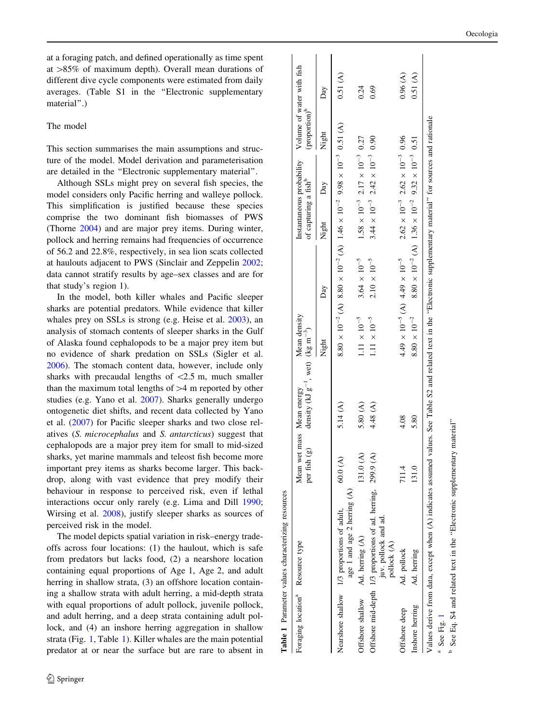<span id="page-3-0"></span>at a foraging patch, and defined operationally as time spent at  $>85\%$  of maximum depth). Overall mean durations of different dive cycle components were estimated from daily averages. (Table S1 in the ''Electronic supplementary material''.)

# The model

This section summarises the main assumptions and structure of the model. Model derivation and parameterisation are detailed in the ''Electronic supplementary material''.

Although SSLs might prey on several fish species, the model considers only Pacific herring and walleye pollock. This simplification is justified because these species comprise the two dominant fish biomasses of PWS (Thorne [2004](#page-11-0)) and are major prey items. During winter, pollock and herring remains had frequencies of occurrence of 56.2 and 22.8%, respectively, in sea lion scats collected at haulouts adjacent to PWS (Sinclair and Zeppelin [2002;](#page-11-0) data cannot stratify results by age–sex classes and are for that study's region 1).

In the model, both killer whales and Pacific sleeper sharks are potential predators. While evidence that killer whales prey on SSLs is strong (e.g. Heise et al. [2003](#page-11-0)), an analysis of stomach contents of sleeper sharks in the Gulf of Alaska found cephalopods to be a major prey item but no evidence of shark predation on SSLs (Sigler et al. [2006\)](#page-11-0). The stomach content data, however, include only sharks with precaudal lengths of  $\langle 2.5 \text{ m}, \text{ much smaller} \rangle$ than the maximum total lengths of  $>4$  m reported by other studies (e.g. Yano et al. [2007\)](#page-11-0). Sharks generally undergo ontogenetic diet shifts, and recent data collected by Yano et al. ([2007\)](#page-11-0) for Pacific sleeper sharks and two close relatives (S. microcephalus and S. antarcticus) suggest that cephalopods are a major prey item for small to mid-sized sharks, yet marine mammals and teleost fish become more important prey items as sharks become larger. This backdrop, along with vast evidence that prey modify their behaviour in response to perceived risk, even if lethal interactions occur only rarely (e.g. Lima and Dill [1990;](#page-11-0) Wirsing et al. [2008](#page-11-0)), justify sleeper sharks as sources of perceived risk in the model.

The model depicts spatial variation in risk–energy tradeoffs across four locations: (1) the haulout, which is safe from predators but lacks food, (2) a nearshore location containing equal proportions of Age 1, Age 2, and adult herring in shallow strata, (3) an offshore location containing a shallow strata with adult herring, a mid-depth strata with equal proportions of adult pollock, juvenile pollock, and adult herring, and a deep strata containing adult pollock, and (4) an inshore herring aggregation in shallow strata (Fig. [1](#page-2-0), Table 1). Killer whales are the main potential predator at or near the surface but are rare to absent in

| Foraging location <sup>3</sup> Resource type |                                                                                                                                                                       | Mean wet mass Mean energy<br>per fish (g) | density (kJ $g^{-1}$ , wet) (kg m <sup>-3</sup> ) | Mean density                                    |                                                                                                                  | Instantaneous probability<br>of capturing a fish <sup>b</sup> |     | Volume of water with fish<br>$(proportion)^{p}$ |         |
|----------------------------------------------|-----------------------------------------------------------------------------------------------------------------------------------------------------------------------|-------------------------------------------|---------------------------------------------------|-------------------------------------------------|------------------------------------------------------------------------------------------------------------------|---------------------------------------------------------------|-----|-------------------------------------------------|---------|
|                                              |                                                                                                                                                                       |                                           |                                                   | Night                                           | Day                                                                                                              | Night                                                         | Day | Night                                           | Day     |
|                                              | age 1 and age 2 herring (A)<br>Nearshore shallow 1/3 proportions of adult,                                                                                            | €<br>60.0                                 | 5.14 $(A)$                                        |                                                 | 8.80 × 10 <sup>-2</sup> (A) 8.80 × 10 <sup>-2</sup> (A) 1.46 × 10 <sup>-2</sup> 9.98 × 10 <sup>-3</sup> 0.51 (A) |                                                               |     |                                                 | 0.51(A) |
| Offshore shallow                             | Ad. herring (A)                                                                                                                                                       | 131.0(A)                                  | 5.80 (A)                                          | $1.11 \times 10^{-5}$                           | $3.64 \times 10^{-5}$                                                                                            | $1.58 \times 10^{-3}$ 2.17 $\times 10^{-3}$ 0.27              |     |                                                 | 0.24    |
|                                              | Offshore mid-depth 1/3 proportions of ad. herring, 299.9 (A)<br>juv. pollock and ad.<br>pollock (A)                                                                   |                                           | 4.48 (A)                                          | $1.11\times10^{-5}$                             | $2.10 \times 10^{-5}$                                                                                            | $3.44 \times 10^{-3}$ $2.42 \times 10^{-3}$ 0.90              |     |                                                 | 0.69    |
| Offshore deep                                | Ad. pollock                                                                                                                                                           | 711.4                                     | 4.08                                              | $4.49 \times 10^{-5}$ (A) $4.49 \times 10^{-5}$ |                                                                                                                  | $2.62 \times 10^{-3}$ $2.62 \times 10^{-3}$ 0.96              |     |                                                 | 0.96(A) |
| Inshore herring                              | Ad. herring                                                                                                                                                           | 131.0                                     | 5.80                                              | $8.80\,\times\,10^{-2}$                         | 8.80 $\times$ 10 <sup>-2</sup> (A) 1.36 $\times$ 10 <sup>-2</sup> 9.32 $\times$ 10 <sup>-3</sup> 0.51            |                                                               |     |                                                 | 0.51(A) |
|                                              | Values derive from data, except when (A) indicates assumed values. See Table S2 and related text in the "Electronic supplementary material" for sources and rationale |                                           |                                                   |                                                 |                                                                                                                  |                                                               |     |                                                 |         |
| See Fig. 1                                   |                                                                                                                                                                       |                                           |                                                   |                                                 |                                                                                                                  |                                                               |     |                                                 |         |

Table 1 Parameter values characterizing resources

Parameter values characterizing

Table 1

resources

 See Eq. S4 and related text in the ''Electronic supplementary material'' Eq. S4 and related text in the "Electronic supplementary material" See

ء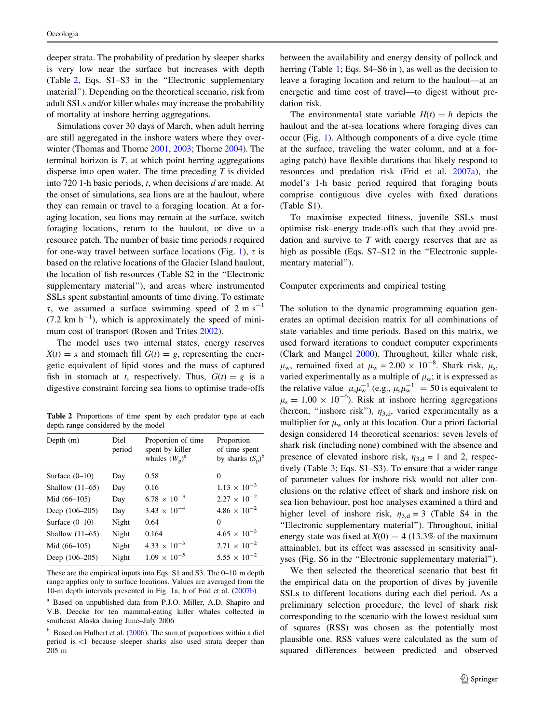deeper strata. The probability of predation by sleeper sharks is very low near the surface but increases with depth (Table 2, Eqs. S1–S3 in the ''Electronic supplementary material''). Depending on the theoretical scenario, risk from adult SSLs and/or killer whales may increase the probability of mortality at inshore herring aggregations.

Simulations cover 30 days of March, when adult herring are still aggregated in the inshore waters where they overwinter (Thomas and Thorne [2001,](#page-11-0) [2003](#page-11-0); Thorne [2004](#page-11-0)). The terminal horizon is  $T$ , at which point herring aggregations disperse into open water. The time preceding  $T$  is divided into 720 1-h basic periods,  $t$ , when decisions  $d$  are made. At the onset of simulations, sea lions are at the haulout, where they can remain or travel to a foraging location. At a foraging location, sea lions may remain at the surface, switch foraging locations, return to the haulout, or dive to a resource patch. The number of basic time periods  $t$  required for one-way travel between surface locations (Fig. [1\)](#page-2-0),  $\tau$  is based on the relative locations of the Glacier Island haulout, the location of fish resources (Table S2 in the ''Electronic supplementary material''), and areas where instrumented SSLs spent substantial amounts of time diving. To estimate  $\tau$ , we assumed a surface swimming speed of 2 m s<sup>-1</sup>  $(7.2 \text{ km h}^{-1})$ , which is approximately the speed of minimum cost of transport (Rosen and Trites [2002\)](#page-11-0).

The model uses two internal states, energy reserves  $X(t) = x$  and stomach fill  $G(t) = g$ , representing the energetic equivalent of lipid stores and the mass of captured fish in stomach at t, respectively. Thus,  $G(t) = g$  is a digestive constraint forcing sea lions to optimise trade-offs

Table 2 Proportions of time spent by each predator type at each depth range considered by the model

| Depth $(m)$       | Diel<br>period | Proportion of time<br>spent by killer<br>whales $(W_n)^a$ | Proportion<br>of time spent<br>by sharks $(S_p)^b$ |
|-------------------|----------------|-----------------------------------------------------------|----------------------------------------------------|
| Surface $(0-10)$  | Day            | 0.58                                                      | 0                                                  |
| Shallow $(11-65)$ | Day            | 0.16                                                      | $1.13 \times 10^{-3}$                              |
| Mid $(66-105)$    | Day            | $6.78 \times 10^{-3}$                                     | $2.27 \times 10^{-2}$                              |
| Deep $(106-205)$  | Day            | $3.43 \times 10^{-4}$                                     | $4.86 \times 10^{-2}$                              |
| Surface $(0-10)$  | Night          | 0.64                                                      | 0                                                  |
| Shallow $(11–65)$ | Night          | 0.164                                                     | $4.65 \times 10^{-3}$                              |
| Mid $(66-105)$    | Night          | $4.33 \times 10^{-3}$                                     | $2.71 \times 10^{-2}$                              |
| Deep (106-205)    | Night          | $1.09 \times 10^{-5}$                                     | $5.55 \times 10^{-2}$                              |

These are the empirical inputs into Eqs. S1 and S3. The 0–10 m depth range applies only to surface locations. Values are averaged from the 10-m depth intervals presented in Fig. 1a, b of Frid et al. [\(2007b\)](#page-10-0)

<sup>a</sup> Based on unpublished data from P.J.O. Miller, A.D. Shapiro and V.B. Deecke for ten mammal-eating killer whales collected in southeast Alaska during June–July 2006

 $<sup>b</sup>$  Based on Hulbert et al. [\(2006](#page-11-0)). The sum of proportions within a diel</sup> period is\1 because sleeper sharks also used strata deeper than 205 m

between the availability and energy density of pollock and herring (Table [1](#page-3-0); Eqs. S4–S6 in ), as well as the decision to leave a foraging location and return to the haulout—at an energetic and time cost of travel—to digest without predation risk.

The environmental state variable  $H(t) = h$  depicts the haulout and the at-sea locations where foraging dives can occur (Fig. [1\)](#page-2-0). Although components of a dive cycle (time at the surface, traveling the water column, and at a foraging patch) have flexible durations that likely respond to resources and predation risk (Frid et al. [2007a](#page-10-0)), the model's 1-h basic period required that foraging bouts comprise contiguous dive cycles with fixed durations (Table S1).

To maximise expected fitness, juvenile SSLs must optimise risk–energy trade-offs such that they avoid predation and survive to  $T$  with energy reserves that are as high as possible (Eqs. S7–S12 in the "Electronic supplementary material'').

#### Computer experiments and empirical testing

The solution to the dynamic programming equation generates an optimal decision matrix for all combinations of state variables and time periods. Based on this matrix, we used forward iterations to conduct computer experiments (Clark and Mangel [2000](#page-10-0)). Throughout, killer whale risk,  $\mu_w$ , remained fixed at  $\mu_w = 2.00 \times 10^{-8}$ . Shark risk,  $\mu_s$ , varied experimentally as a multiple of  $\mu_w$ ; it is expressed as the relative value  $\mu_s \mu_w^{-1}$  (e.g.,  $\mu_s \mu_w^{-1} = 50$  is equivalent to  $\mu$ <sub>s</sub> = 1.00 × 10<sup>-6</sup>). Risk at inshore herring aggregations (hereon, "inshore risk"),  $\eta_{3,d}$ , varied experimentally as a multiplier for  $\mu_w$  only at this location. Our a priori factorial design considered 14 theoretical scenarios: seven levels of shark risk (including none) combined with the absence and presence of elevated inshore risk,  $\eta_{3,d} = 1$  and 2, respectively (Table [3](#page-5-0); Eqs. S1–S3). To ensure that a wider range of parameter values for inshore risk would not alter conclusions on the relative effect of shark and inshore risk on sea lion behaviour, post hoc analyses examined a third and higher level of inshore risk,  $\eta_{3,d} = 3$  (Table S4 in the ''Electronic supplementary material''). Throughout, initial energy state was fixed at  $X(0) = 4$  (13.3% of the maximum attainable), but its effect was assessed in sensitivity analyses (Fig. S6 in the ''Electronic supplementary material'').

We then selected the theoretical scenario that best fit the empirical data on the proportion of dives by juvenile SSLs to different locations during each diel period. As a preliminary selection procedure, the level of shark risk corresponding to the scenario with the lowest residual sum of squares (RSS) was chosen as the potentially most plausible one. RSS values were calculated as the sum of squared differences between predicted and observed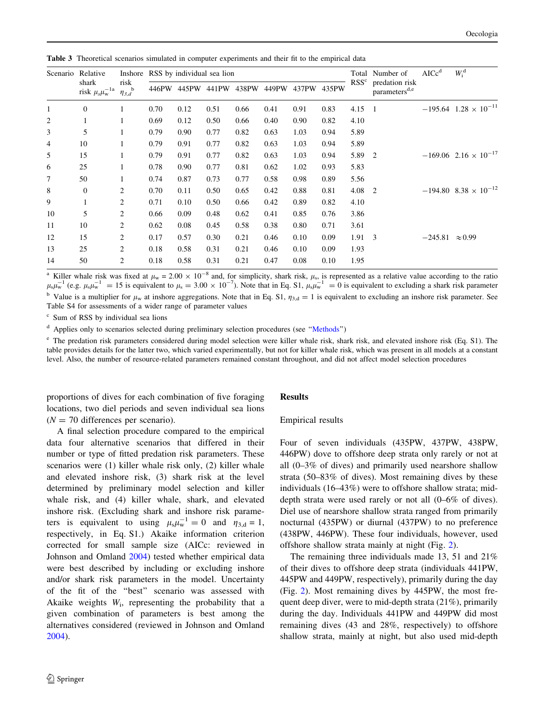<span id="page-5-0"></span>Table 3 Theoretical scenarios simulated in computer experiments and their fit to the empirical data

| Scenario       | Relative<br>shark<br>risk $\mu_s \mu_{\rm w}^{-1{\rm a}}$ | risk<br>b<br>$\eta_{3,d}$ | Inshore RSS by individual sea lion |       |       |       |       |       |       |                  | Total Number of                             | AICc <sup>d</sup>      | $W_i^{\rm d}$                             |
|----------------|-----------------------------------------------------------|---------------------------|------------------------------------|-------|-------|-------|-------|-------|-------|------------------|---------------------------------------------|------------------------|-------------------------------------------|
|                |                                                           |                           | 446PW                              | 445PW | 441PW | 438PW | 449PW | 437PW | 435PW | RSS <sup>c</sup> | predation risk<br>parameters <sup>d,e</sup> |                        |                                           |
|                | $\boldsymbol{0}$                                          |                           | 0.70                               | 0.12  | 0.51  | 0.66  | 0.41  | 0.91  | 0.83  | $4.15 \quad 1$   |                                             |                        | $-195.64$ 1.28 $\times$ 10 <sup>-11</sup> |
| $\overline{c}$ |                                                           |                           | 0.69                               | 0.12  | 0.50  | 0.66  | 0.40  | 0.90  | 0.82  | 4.10             |                                             |                        |                                           |
| 3              | 5                                                         | 1                         | 0.79                               | 0.90  | 0.77  | 0.82  | 0.63  | 1.03  | 0.94  | 5.89             |                                             |                        |                                           |
| 4              | 10                                                        |                           | 0.79                               | 0.91  | 0.77  | 0.82  | 0.63  | 1.03  | 0.94  | 5.89             |                                             |                        |                                           |
| 5              | 15                                                        |                           | 0.79                               | 0.91  | 0.77  | 0.82  | 0.63  | 1.03  | 0.94  | 5.89             | $\overline{2}$                              |                        | $-169.06$ 2.16 $\times$ 10 <sup>-17</sup> |
| 6              | 25                                                        |                           | 0.78                               | 0.90  | 0.77  | 0.81  | 0.62  | 1.02  | 0.93  | 5.83             |                                             |                        |                                           |
| 7              | 50                                                        | 1                         | 0.74                               | 0.87  | 0.73  | 0.77  | 0.58  | 0.98  | 0.89  | 5.56             |                                             |                        |                                           |
| 8              | $\boldsymbol{0}$                                          | 2                         | 0.70                               | 0.11  | 0.50  | 0.65  | 0.42  | 0.88  | 0.81  | 4.08             | $\overline{2}$                              |                        | $-194.80$ 8.38 $\times$ 10 <sup>-12</sup> |
| 9              |                                                           | 2                         | 0.71                               | 0.10  | 0.50  | 0.66  | 0.42  | 0.89  | 0.82  | 4.10             |                                             |                        |                                           |
| 10             | 5                                                         | 2                         | 0.66                               | 0.09  | 0.48  | 0.62  | 0.41  | 0.85  | 0.76  | 3.86             |                                             |                        |                                           |
| 11             | 10                                                        | $\overline{c}$            | 0.62                               | 0.08  | 0.45  | 0.58  | 0.38  | 0.80  | 0.71  | 3.61             |                                             |                        |                                           |
| 12             | 15                                                        | 2                         | 0.17                               | 0.57  | 0.30  | 0.21  | 0.46  | 0.10  | 0.09  | 1.91             | 3                                           | $-245.81 \approx 0.99$ |                                           |
| 13             | 25                                                        | 2                         | 0.18                               | 0.58  | 0.31  | 0.21  | 0.46  | 0.10  | 0.09  | 1.93             |                                             |                        |                                           |
| 14             | 50                                                        | 2                         | 0.18                               | 0.58  | 0.31  | 0.21  | 0.47  | 0.08  | 0.10  | 1.95             |                                             |                        |                                           |

<sup>a</sup> Killer whale risk was fixed at  $\mu_w = 2.00 \times 10^{-8}$  and, for simplicity, shark risk,  $\mu_s$ , is represented as a relative value according to the ratio  $\mu_s\mu_w^{-1}$  (e.g.  $\mu_s\mu_w^{-1} = 15$  is equivalent to  $\mu_s = 3.00 \times 10^{-7}$ ). Note that in Eq. S1,  $\mu_s\mu_w^{-1} = 0$  is equivalent to excluding a shark risk parameter Value is a multiplier for  $\mu_w$  at inshore aggregations. Note that in Eq. S1,  $\eta_{3,d} = 1$  is equivalent to excluding an inshore risk parameter. See Table S4 for assessments of a wider range of parameter values

Sum of RSS by individual sea lions

<sup>d</sup> Applies only to scenarios selected during preliminary selection procedures (see '['Methods](#page-1-0)'')

<sup>e</sup> The predation risk parameters considered during model selection were killer whale risk, shark risk, and elevated inshore risk (Eq. S1). The table provides details for the latter two, which varied experimentally, but not for killer whale risk, which was present in all models at a constant level. Also, the number of resource-related parameters remained constant throughout, and did not affect model selection procedures

proportions of dives for each combination of five foraging locations, two diel periods and seven individual sea lions  $(N = 70$  differences per scenario).

A final selection procedure compared to the empirical data four alternative scenarios that differed in their number or type of fitted predation risk parameters. These scenarios were (1) killer whale risk only, (2) killer whale and elevated inshore risk, (3) shark risk at the level determined by preliminary model selection and killer whale risk, and (4) killer whale, shark, and elevated inshore risk. (Excluding shark and inshore risk parameters is equivalent to using  $\mu_s \mu_w^{-1} = 0$  and  $\eta_{3,d} = 1$ , respectively, in Eq. S1.) Akaike information criterion corrected for small sample size (AICc: reviewed in Johnson and Omland [2004](#page-11-0)) tested whether empirical data were best described by including or excluding inshore and/or shark risk parameters in the model. Uncertainty of the fit of the ''best'' scenario was assessed with Akaike weights  $W_i$ , representing the probability that a given combination of parameters is best among the alternatives considered (reviewed in Johnson and Omland [2004\)](#page-11-0).

#### Results

### Empirical results

Four of seven individuals (435PW, 437PW, 438PW, 446PW) dove to offshore deep strata only rarely or not at all (0–3% of dives) and primarily used nearshore shallow strata (50–83% of dives). Most remaining dives by these individuals (16–43%) were to offshore shallow strata; middepth strata were used rarely or not all (0–6% of dives). Diel use of nearshore shallow strata ranged from primarily nocturnal (435PW) or diurnal (437PW) to no preference (438PW, 446PW). These four individuals, however, used offshore shallow strata mainly at night (Fig. [2](#page-6-0)).

The remaining three individuals made 13, 51 and 21% of their dives to offshore deep strata (individuals 441PW, 445PW and 449PW, respectively), primarily during the day (Fig. [2\)](#page-6-0). Most remaining dives by 445PW, the most frequent deep diver, were to mid-depth strata (21%), primarily during the day. Individuals 441PW and 449PW did most remaining dives (43 and 28%, respectively) to offshore shallow strata, mainly at night, but also used mid-depth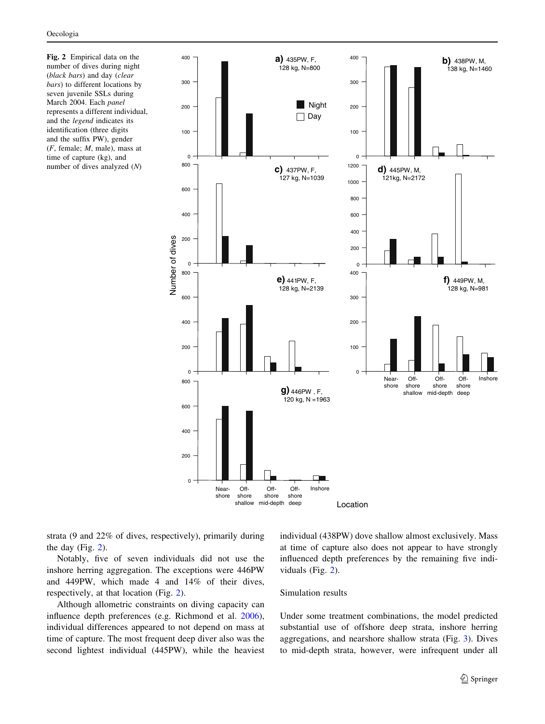<span id="page-6-0"></span>Fig. 2 Empirical data on the number of dives during night (black bars) and day (clear bars) to different locations by seven juvenile SSLs during March 2004. Each panel represents a different individual, and the legend indicates its identification (three digits and the suffix PW), gender  $(F, female; M, male)$ , mass at time of capture (kg), and number of dives analyzed (N)



strata (9 and 22% of dives, respectively), primarily during the day (Fig. 2).

Notably, five of seven individuals did not use the inshore herring aggregation. The exceptions were 446PW and 449PW, which made 4 and 14% of their dives, respectively, at that location (Fig. 2).

Although allometric constraints on diving capacity can influence depth preferences (e.g. Richmond et al. [2006](#page-11-0)), individual differences appeared to not depend on mass at time of capture. The most frequent deep diver also was the second lightest individual (445PW), while the heaviest individual (438PW) dove shallow almost exclusively. Mass at time of capture also does not appear to have strongly influenced depth preferences by the remaining five individuals (Fig. 2).

## Simulation results

Under some treatment combinations, the model predicted substantial use of offshore deep strata, inshore herring aggregations, and nearshore shallow strata (Fig. [3](#page-7-0)). Dives to mid-depth strata, however, were infrequent under all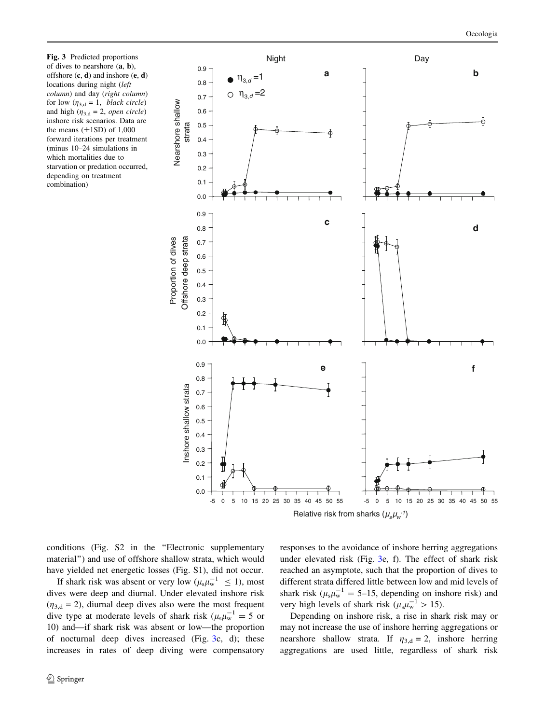<span id="page-7-0"></span>Fig. 3 Predicted proportions of dives to nearshore (a, b), offshore  $(c, d)$  and inshore  $(e, d)$ locations during night (left column) and day (right column) for low  $(\eta_{3,d} = 1, \text{ black circle})$ and high ( $\eta_{3,d} = 2$ , *open circle*) inshore risk scenarios. Data are the means  $(\pm 1SD)$  of 1,000 forward iterations per treatment (minus 10–24 simulations in which mortalities due to starvation or predation occurred, depending on treatment combination)



conditions (Fig. S2 in the ''Electronic supplementary material'') and use of offshore shallow strata, which would have yielded net energetic losses (Fig. S1), did not occur.

If shark risk was absent or very low  $(\mu_s \mu_w^{-1} \le 1)$ , most dives were deep and diurnal. Under elevated inshore risk  $(\eta_{3,d} = 2)$ , diurnal deep dives also were the most frequent dive type at moderate levels of shark risk ( $\mu_s \mu_w^{-1} = 5$  or 10) and—if shark risk was absent or low—the proportion of nocturnal deep dives increased (Fig. 3c, d); these increases in rates of deep diving were compensatory

responses to the avoidance of inshore herring aggregations under elevated risk (Fig. 3e, f). The effect of shark risk reached an asymptote, such that the proportion of dives to different strata differed little between low and mid levels of shark risk ( $\mu_s \mu_w^{-1} = 5{\text -}15$ , depending on inshore risk) and very high levels of shark risk ( $\mu_s \mu_w^{-1} > 15$ ).

Depending on inshore risk, a rise in shark risk may or may not increase the use of inshore herring aggregations or nearshore shallow strata. If  $\eta_{3,d} = 2$ , inshore herring aggregations are used little, regardless of shark risk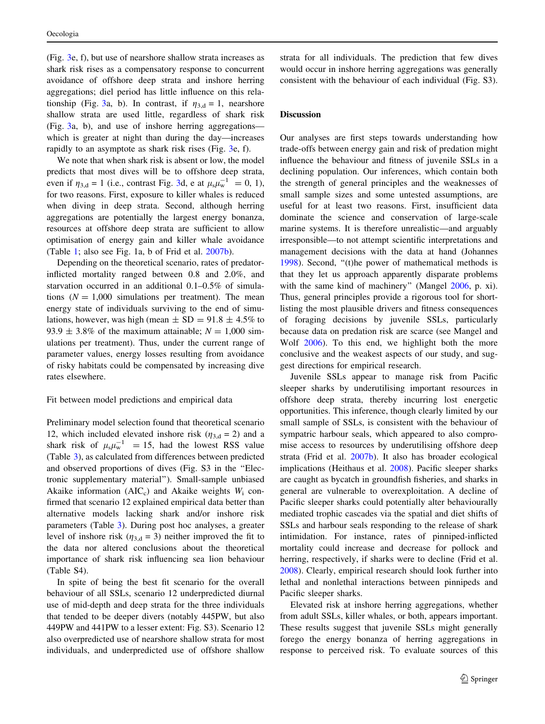(Fig. [3](#page-7-0)e, f), but use of nearshore shallow strata increases as shark risk rises as a compensatory response to concurrent avoidance of offshore deep strata and inshore herring aggregations; diel period has little influence on this rela-tionship (Fig. [3](#page-7-0)a, b). In contrast, if  $\eta_{3,d} = 1$ , nearshore shallow strata are used little, regardless of shark risk (Fig. [3](#page-7-0)a, b), and use of inshore herring aggregations which is greater at night than during the day—increases rapidly to an asymptote as shark risk rises (Fig. [3](#page-7-0)e, f).

We note that when shark risk is absent or low, the model predicts that most dives will be to offshore deep strata, even if  $\eta_{3,d} = 1$  (i.e., contrast Fig. [3d](#page-7-0), e at  $\mu_s \mu_w^{-1} = 0, 1$ ), for two reasons. First, exposure to killer whales is reduced when diving in deep strata. Second, although herring aggregations are potentially the largest energy bonanza, resources at offshore deep strata are sufficient to allow optimisation of energy gain and killer whale avoidance (Table [1](#page-3-0); also see Fig. 1a, b of Frid et al. [2007b](#page-10-0)).

Depending on the theoretical scenario, rates of predatorinflicted mortality ranged between 0.8 and 2.0%, and starvation occurred in an additional 0.1–0.5% of simulations  $(N = 1,000)$  simulations per treatment). The mean energy state of individuals surviving to the end of simulations, however, was high (mean  $\pm$  SD = 91.8  $\pm$  4.5% to 93.9  $\pm$  3.8% of the maximum attainable;  $N = 1,000$  simulations per treatment). Thus, under the current range of parameter values, energy losses resulting from avoidance of risky habitats could be compensated by increasing dive rates elsewhere.

#### Fit between model predictions and empirical data

Preliminary model selection found that theoretical scenario 12, which included elevated inshore risk ( $\eta_{3,d} = 2$ ) and a shark risk of  $\mu_s \mu_w^{-1} = 15$ , had the lowest RSS value (Table [3](#page-5-0)), as calculated from differences between predicted and observed proportions of dives (Fig. S3 in the ''Electronic supplementary material''). Small-sample unbiased Akaike information  $(AIC<sub>c</sub>)$  and Akaike weights  $W<sub>i</sub>$  confirmed that scenario 12 explained empirical data better than alternative models lacking shark and/or inshore risk parameters (Table [3](#page-5-0)). During post hoc analyses, a greater level of inshore risk ( $\eta_{3,d} = 3$ ) neither improved the fit to the data nor altered conclusions about the theoretical importance of shark risk influencing sea lion behaviour (Table S4).

In spite of being the best fit scenario for the overall behaviour of all SSLs, scenario 12 underpredicted diurnal use of mid-depth and deep strata for the three individuals that tended to be deeper divers (notably 445PW, but also 449PW and 441PW to a lesser extent: Fig. S3). Scenario 12 also overpredicted use of nearshore shallow strata for most individuals, and underpredicted use of offshore shallow strata for all individuals. The prediction that few dives would occur in inshore herring aggregations was generally consistent with the behaviour of each individual (Fig. S3).

# Discussion

Our analyses are first steps towards understanding how trade-offs between energy gain and risk of predation might influence the behaviour and fitness of juvenile SSLs in a declining population. Our inferences, which contain both the strength of general principles and the weaknesses of small sample sizes and some untested assumptions, are useful for at least two reasons. First, insufficient data dominate the science and conservation of large-scale marine systems. It is therefore unrealistic—and arguably irresponsible—to not attempt scientific interpretations and management decisions with the data at hand (Johannes [1998](#page-11-0)). Second, ''(t)he power of mathematical methods is that they let us approach apparently disparate problems with the same kind of machinery'' (Mangel [2006,](#page-11-0) p. xi). Thus, general principles provide a rigorous tool for shortlisting the most plausible drivers and fitness consequences of foraging decisions by juvenile SSLs, particularly because data on predation risk are scarce (see Mangel and Wolf [2006](#page-11-0)). To this end, we highlight both the more conclusive and the weakest aspects of our study, and suggest directions for empirical research.

Juvenile SSLs appear to manage risk from Pacific sleeper sharks by underutilising important resources in offshore deep strata, thereby incurring lost energetic opportunities. This inference, though clearly limited by our small sample of SSLs, is consistent with the behaviour of sympatric harbour seals, which appeared to also compromise access to resources by underutilising offshore deep strata (Frid et al. [2007b](#page-10-0)). It also has broader ecological implications (Heithaus et al. [2008](#page-11-0)). Pacific sleeper sharks are caught as bycatch in groundfish fisheries, and sharks in general are vulnerable to overexploitation. A decline of Pacific sleeper sharks could potentially alter behaviourally mediated trophic cascades via the spatial and diet shifts of SSLs and harbour seals responding to the release of shark intimidation. For instance, rates of pinniped-inflicted mortality could increase and decrease for pollock and herring, respectively, if sharks were to decline (Frid et al. [2008](#page-10-0)). Clearly, empirical research should look further into lethal and nonlethal interactions between pinnipeds and Pacific sleeper sharks.

Elevated risk at inshore herring aggregations, whether from adult SSLs, killer whales, or both, appears important. These results suggest that juvenile SSLs might generally forego the energy bonanza of herring aggregations in response to perceived risk. To evaluate sources of this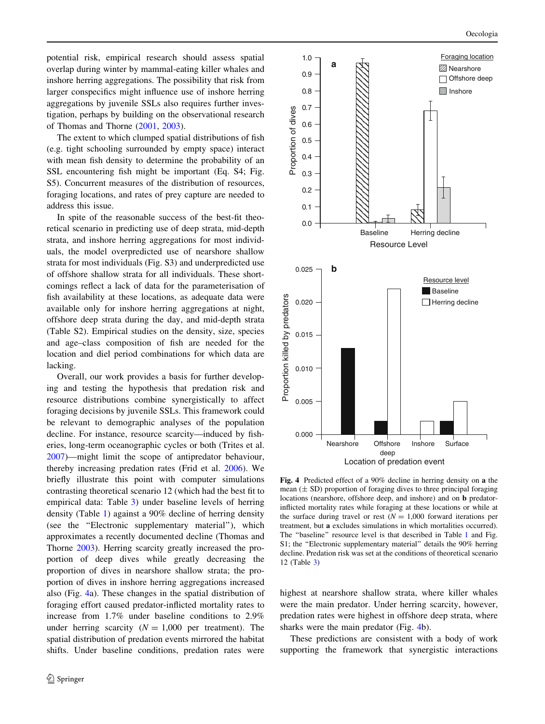potential risk, empirical research should assess spatial overlap during winter by mammal-eating killer whales and inshore herring aggregations. The possibility that risk from larger conspecifics might influence use of inshore herring aggregations by juvenile SSLs also requires further investigation, perhaps by building on the observational research of Thomas and Thorne ([2001](#page-11-0), [2003](#page-11-0)).

The extent to which clumped spatial distributions of fish (e.g. tight schooling surrounded by empty space) interact with mean fish density to determine the probability of an SSL encountering fish might be important (Eq. S4; Fig. S5). Concurrent measures of the distribution of resources, foraging locations, and rates of prey capture are needed to address this issue.

In spite of the reasonable success of the best-fit theoretical scenario in predicting use of deep strata, mid-depth strata, and inshore herring aggregations for most individuals, the model overpredicted use of nearshore shallow strata for most individuals (Fig. S3) and underpredicted use of offshore shallow strata for all individuals. These shortcomings reflect a lack of data for the parameterisation of fish availability at these locations, as adequate data were available only for inshore herring aggregations at night, offshore deep strata during the day, and mid-depth strata (Table S2). Empirical studies on the density, size, species and age–class composition of fish are needed for the location and diel period combinations for which data are lacking.

Overall, our work provides a basis for further developing and testing the hypothesis that predation risk and resource distributions combine synergistically to affect foraging decisions by juvenile SSLs. This framework could be relevant to demographic analyses of the population decline. For instance, resource scarcity—induced by fisheries, long-term oceanographic cycles or both (Trites et al. [2007\)](#page-11-0)—might limit the scope of antipredator behaviour, thereby increasing predation rates (Frid et al. [2006](#page-10-0)). We briefly illustrate this point with computer simulations contrasting theoretical scenario 12 (which had the best fit to empirical data: Table [3](#page-5-0)) under baseline levels of herring density (Table [1\)](#page-3-0) against a 90% decline of herring density (see the ''Electronic supplementary material''), which approximates a recently documented decline (Thomas and Thorne [2003\)](#page-11-0). Herring scarcity greatly increased the proportion of deep dives while greatly decreasing the proportion of dives in nearshore shallow strata; the proportion of dives in inshore herring aggregations increased also (Fig. 4a). These changes in the spatial distribution of foraging effort caused predator-inflicted mortality rates to increase from 1.7% under baseline conditions to 2.9% under herring scarcity  $(N = 1,000)$  per treatment). The spatial distribution of predation events mirrored the habitat shifts. Under baseline conditions, predation rates were



Fig. 4 Predicted effect of a 90% decline in herring density on a the mean  $(\pm SD)$  proportion of foraging dives to three principal foraging locations (nearshore, offshore deep, and inshore) and on b predatorinflicted mortality rates while foraging at these locations or while at the surface during travel or rest  $(N = 1,000)$  forward iterations per treatment, but a excludes simulations in which mortalities occurred). The "baseline" resource level is that described in Table [1](#page-3-0) and Fig. S1; the "Electronic supplementary material" details the 90% herring decline. Predation risk was set at the conditions of theoretical scenario 12 (Table [3\)](#page-5-0)

highest at nearshore shallow strata, where killer whales were the main predator. Under herring scarcity, however, predation rates were highest in offshore deep strata, where sharks were the main predator (Fig. 4b).

These predictions are consistent with a body of work supporting the framework that synergistic interactions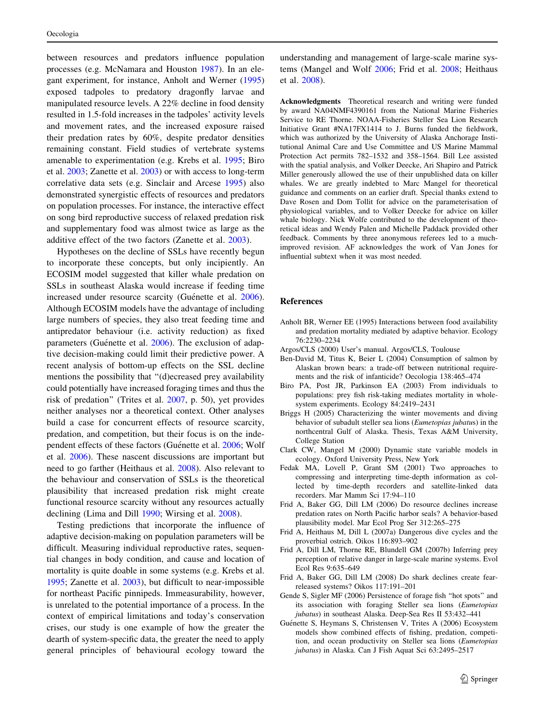<span id="page-10-0"></span>between resources and predators influence population processes (e.g. McNamara and Houston [1987](#page-11-0)). In an elegant experiment, for instance, Anholt and Werner (1995) exposed tadpoles to predatory dragonfly larvae and manipulated resource levels. A 22% decline in food density resulted in 1.5-fold increases in the tadpoles' activity levels and movement rates, and the increased exposure raised their predation rates by 60%, despite predator densities remaining constant. Field studies of vertebrate systems amenable to experimentation (e.g. Krebs et al. [1995](#page-11-0); Biro et al. 2003; Zanette et al. [2003\)](#page-11-0) or with access to long-term correlative data sets (e.g. Sinclair and Arcese [1995\)](#page-11-0) also demonstrated synergistic effects of resources and predators on population processes. For instance, the interactive effect on song bird reproductive success of relaxed predation risk and supplementary food was almost twice as large as the additive effect of the two factors (Zanette et al. [2003](#page-11-0)).

Hypotheses on the decline of SSLs have recently begun to incorporate these concepts, but only incipiently. An ECOSIM model suggested that killer whale predation on SSLs in southeast Alaska would increase if feeding time increased under resource scarcity (Guénette et al. 2006). Although ECOSIM models have the advantage of including large numbers of species, they also treat feeding time and antipredator behaviour (i.e. activity reduction) as fixed parameters (Guénette et al. 2006). The exclusion of adaptive decision-making could limit their predictive power. A recent analysis of bottom-up effects on the SSL decline mentions the possibility that "(d)ecreased prey availability could potentially have increased foraging times and thus the risk of predation'' (Trites et al. [2007,](#page-11-0) p. 50), yet provides neither analyses nor a theoretical context. Other analyses build a case for concurrent effects of resource scarcity, predation, and competition, but their focus is on the independent effects of these factors (Guénette et al. 2006; Wolf et al. [2006\)](#page-11-0). These nascent discussions are important but need to go farther (Heithaus et al. [2008](#page-11-0)). Also relevant to the behaviour and conservation of SSLs is the theoretical plausibility that increased predation risk might create functional resource scarcity without any resources actually declining (Lima and Dill [1990;](#page-11-0) Wirsing et al. [2008\)](#page-11-0).

Testing predictions that incorporate the influence of adaptive decision-making on population parameters will be difficult. Measuring individual reproductive rates, sequential changes in body condition, and cause and location of mortality is quite doable in some systems (e.g. Krebs et al. [1995;](#page-11-0) Zanette et al. [2003](#page-11-0)), but difficult to near-impossible for northeast Pacific pinnipeds. Immeasurability, however, is unrelated to the potential importance of a process. In the context of empirical limitations and today's conservation crises, our study is one example of how the greater the dearth of system-specific data, the greater the need to apply general principles of behavioural ecology toward the

understanding and management of large-scale marine systems (Mangel and Wolf [2006;](#page-11-0) Frid et al. 2008; Heithaus et al. [2008\)](#page-11-0).

Acknowledgments Theoretical research and writing were funded by award NA04NMF4390161 from the National Marine Fisheries Service to RE Thorne. NOAA-Fisheries Steller Sea Lion Research Initiative Grant #NA17FX1414 to J. Burns funded the fieldwork, which was authorized by the University of Alaska Anchorage Institutional Animal Care and Use Committee and US Marine Mammal Protection Act permits 782–1532 and 358–1564. Bill Lee assisted with the spatial analysis, and Volker Deecke, Ari Shapiro and Patrick Miller generously allowed the use of their unpublished data on killer whales. We are greatly indebted to Marc Mangel for theoretical guidance and comments on an earlier draft. Special thanks extend to Dave Rosen and Dom Tollit for advice on the parameterisation of physiological variables, and to Volker Deecke for advice on killer whale biology. Nick Wolfe contributed to the development of theoretical ideas and Wendy Palen and Michelle Paddack provided other feedback. Comments by three anonymous referees led to a muchimproved revision. AF acknowledges the work of Van Jones for influential subtext when it was most needed.

#### References

- Anholt BR, Werner EE (1995) Interactions between food availability and predation mortality mediated by adaptive behavior. Ecology 76:2230–2234
- Argos/CLS (2000) User's manual. Argos/CLS, Toulouse
- Ben-David M, Titus K, Beier L (2004) Consumption of salmon by Alaskan brown bears: a trade-off between nutritional requirements and the risk of infanticide? Oecologia 138:465–474
- Biro PA, Post JR, Parkinson EA (2003) From individuals to populations: prey fish risk-taking mediates mortality in wholesystem experiments. Ecology 84:2419–2431
- Briggs H (2005) Characterizing the winter movements and diving behavior of subadult steller sea lions (Eumetopias jubatus) in the northcentral Gulf of Alaska. Thesis, Texas A&M University, College Station
- Clark CW, Mangel M (2000) Dynamic state variable models in ecology. Oxford University Press, New York
- Fedak MA, Lovell P, Grant SM (2001) Two approaches to compressing and interpreting time-depth information as collected by time-depth recorders and satellite-linked data recorders. Mar Mamm Sci 17:94–110
- Frid A, Baker GG, Dill LM (2006) Do resource declines increase predation rates on North Pacific harbor seals? A behavior-based plausibility model. Mar Ecol Prog Ser 312:265–275
- Frid A, Heithaus M, Dill L (2007a) Dangerous dive cycles and the proverbial ostrich. Oikos 116:893–902
- Frid A, Dill LM, Thorne RE, Blundell GM (2007b) Inferring prey perception of relative danger in large-scale marine systems. Evol Ecol Res 9:635–649
- Frid A, Baker GG, Dill LM (2008) Do shark declines create fearreleased systems? Oikos 117:191–201
- Gende S, Sigler MF (2006) Persistence of forage fish ''hot spots'' and its association with foraging Steller sea lions (Eumetopias jubatus) in southeast Alaska. Deep-Sea Res II 53:432–441
- Guénette S, Heymans S, Christensen V, Trites A (2006) Ecosystem models show combined effects of fishing, predation, competition, and ocean productivity on Steller sea lions (Eumetopias jubatus) in Alaska. Can J Fish Aquat Sci 63:2495–2517